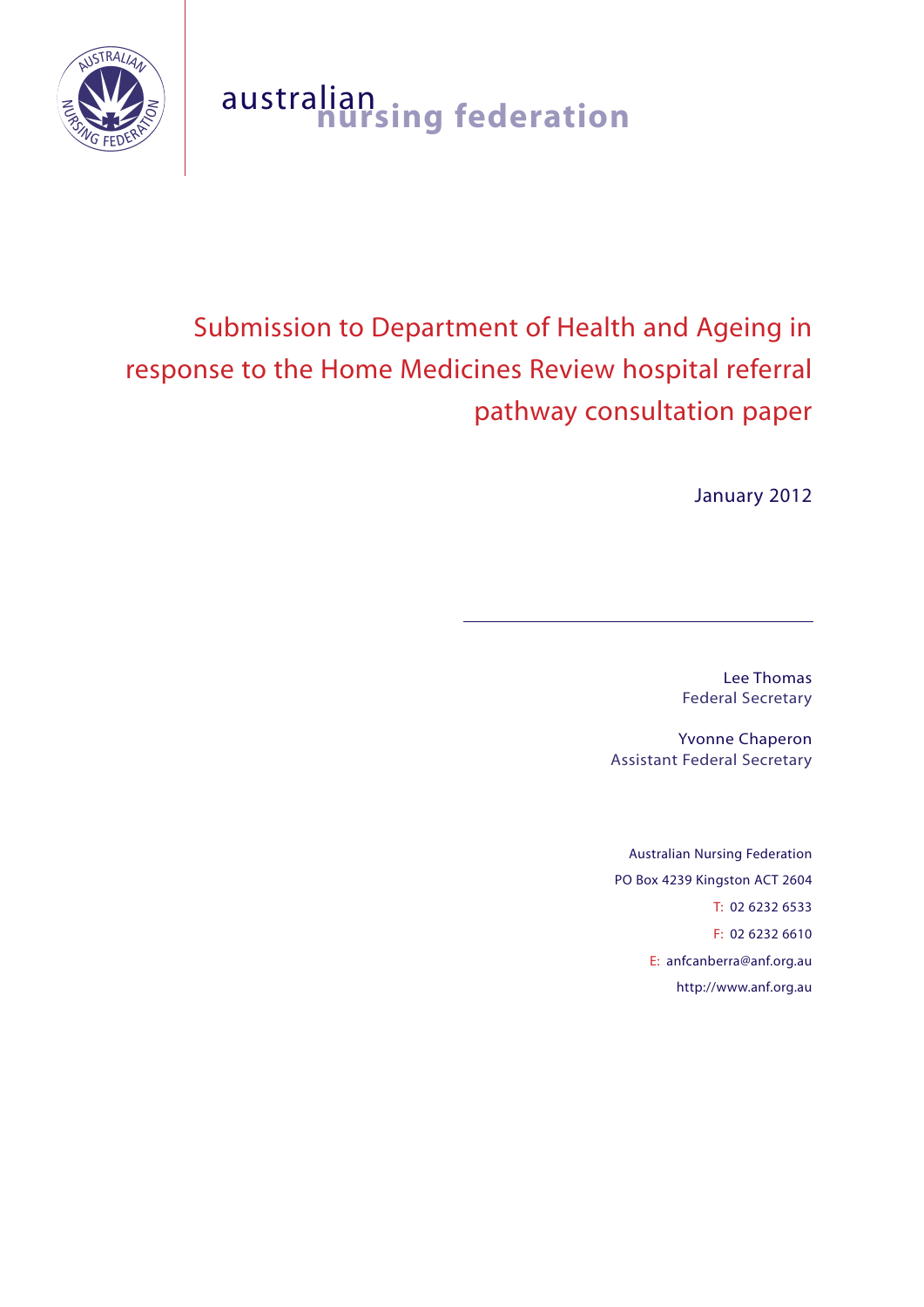

# australian **nursing federation**

# Submission to Department of Health and Ageing in response to the Home Medicines Review hospital referral pathway consultation paper

January 2012

Lee Thomas Federal Secretary

Yvonne Chaperon Assistant Federal Secretary

Australian Nursing Federation PO Box 4239 Kingston ACT 2604 T: 02 6232 6533 F: 02 6232 6610 E: anfcanberra@anf.org.au http://www.anf.org.au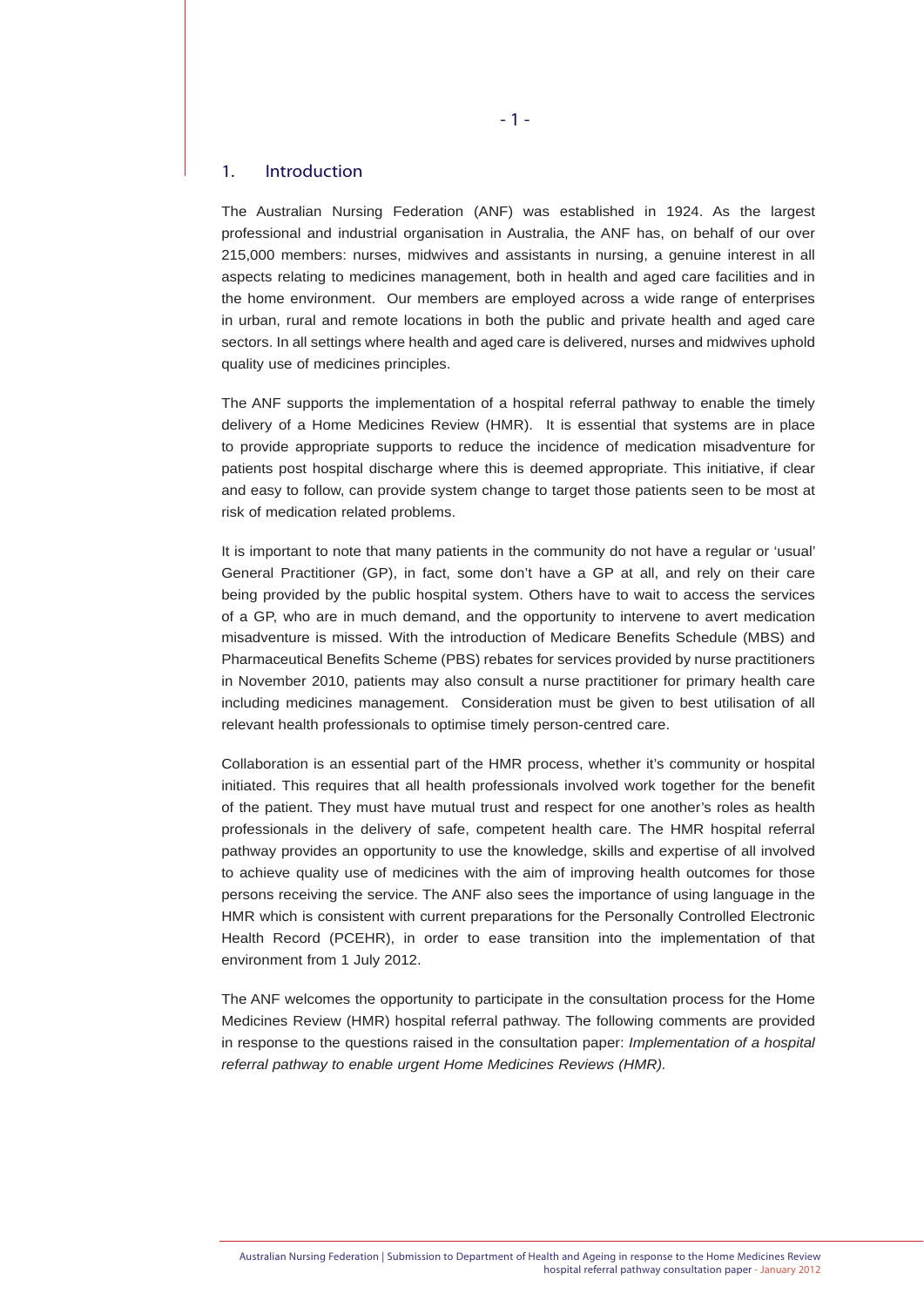#### 1. Introduction

The Australian Nursing Federation (ANF) was established in 1924. As the largest professional and industrial organisation in Australia, the ANF has, on behalf of our over 215,000 members: nurses, midwives and assistants in nursing, a genuine interest in all aspects relating to medicines management, both in health and aged care facilities and in the home environment. Our members are employed across a wide range of enterprises in urban, rural and remote locations in both the public and private health and aged care sectors. In all settings where health and aged care is delivered, nurses and midwives uphold quality use of medicines principles.

The ANF supports the implementation of a hospital referral pathway to enable the timely delivery of a Home Medicines Review (HMR). It is essential that systems are in place to provide appropriate supports to reduce the incidence of medication misadventure for patients post hospital discharge where this is deemed appropriate. This initiative, if clear and easy to follow, can provide system change to target those patients seen to be most at risk of medication related problems.

It is important to note that many patients in the community do not have a regular or 'usual' General Practitioner (GP), in fact, some don't have a GP at all, and rely on their care being provided by the public hospital system. Others have to wait to access the services of a GP, who are in much demand, and the opportunity to intervene to avert medication misadventure is missed. With the introduction of Medicare Benefits Schedule (MBS) and Pharmaceutical Benefits Scheme (PBS) rebates for services provided by nurse practitioners in November 2010, patients may also consult a nurse practitioner for primary health care including medicines management. Consideration must be given to best utilisation of all relevant health professionals to optimise timely person-centred care.

Collaboration is an essential part of the HMR process, whether it's community or hospital initiated. This requires that all health professionals involved work together for the benefit of the patient. They must have mutual trust and respect for one another's roles as health professionals in the delivery of safe, competent health care. The HMR hospital referral pathway provides an opportunity to use the knowledge, skills and expertise of all involved to achieve quality use of medicines with the aim of improving health outcomes for those persons receiving the service. The ANF also sees the importance of using language in the HMR which is consistent with current preparations for the Personally Controlled Electronic Health Record (PCEHR), in order to ease transition into the implementation of that environment from 1 July 2012.

The ANF welcomes the opportunity to participate in the consultation process for the Home Medicines Review (HMR) hospital referral pathway. The following comments are provided in response to the questions raised in the consultation paper: *Implementation of a hospital referral pathway to enable urgent Home Medicines Reviews (HMR).*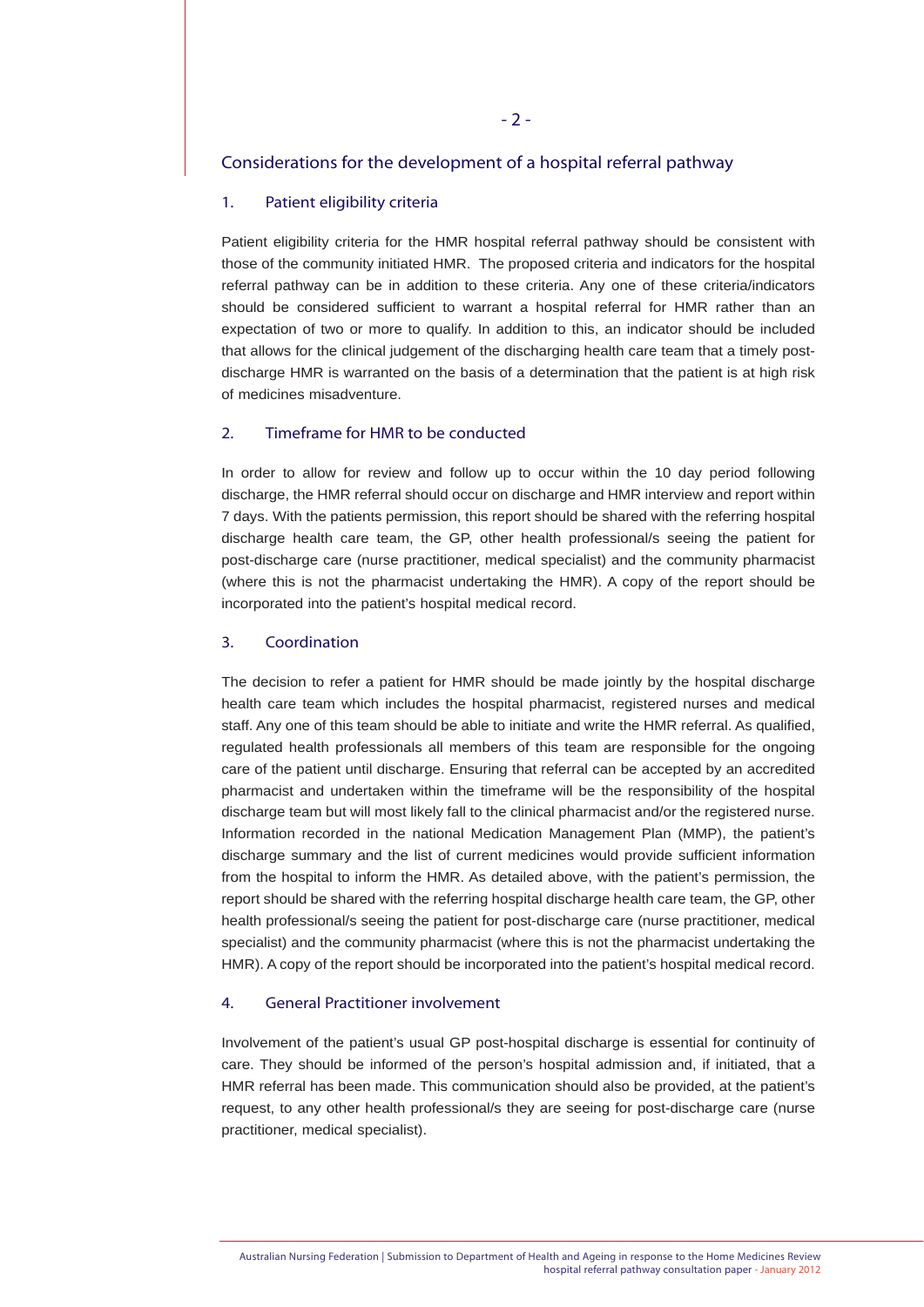# Considerations for the development of a hospital referral pathway

#### 1. Patient eligibility criteria

Patient eligibility criteria for the HMR hospital referral pathway should be consistent with those of the community initiated HMR. The proposed criteria and indicators for the hospital referral pathway can be in addition to these criteria. Any one of these criteria/indicators should be considered sufficient to warrant a hospital referral for HMR rather than an expectation of two or more to qualify. In addition to this, an indicator should be included that allows for the clinical judgement of the discharging health care team that a timely postdischarge HMR is warranted on the basis of a determination that the patient is at high risk of medicines misadventure.

## 2. Timeframe for HMR to be conducted

In order to allow for review and follow up to occur within the 10 day period following discharge, the HMR referral should occur on discharge and HMR interview and report within 7 days. With the patients permission, this report should be shared with the referring hospital discharge health care team, the GP, other health professional/s seeing the patient for post-discharge care (nurse practitioner, medical specialist) and the community pharmacist (where this is not the pharmacist undertaking the HMR). A copy of the report should be incorporated into the patient's hospital medical record.

#### 3. Coordination

The decision to refer a patient for HMR should be made jointly by the hospital discharge health care team which includes the hospital pharmacist, registered nurses and medical staff. Any one of this team should be able to initiate and write the HMR referral. As qualified, regulated health professionals all members of this team are responsible for the ongoing care of the patient until discharge. Ensuring that referral can be accepted by an accredited pharmacist and undertaken within the timeframe will be the responsibility of the hospital discharge team but will most likely fall to the clinical pharmacist and/or the registered nurse. Information recorded in the national Medication Management Plan (MMP), the patient's discharge summary and the list of current medicines would provide sufficient information from the hospital to inform the HMR. As detailed above, with the patient's permission, the report should be shared with the referring hospital discharge health care team, the GP, other health professional/s seeing the patient for post-discharge care (nurse practitioner, medical specialist) and the community pharmacist (where this is not the pharmacist undertaking the HMR). A copy of the report should be incorporated into the patient's hospital medical record.

#### 4. General Practitioner involvement

Involvement of the patient's usual GP post-hospital discharge is essential for continuity of care. They should be informed of the person's hospital admission and, if initiated, that a HMR referral has been made. This communication should also be provided, at the patient's request, to any other health professional/s they are seeing for post-discharge care (nurse practitioner, medical specialist).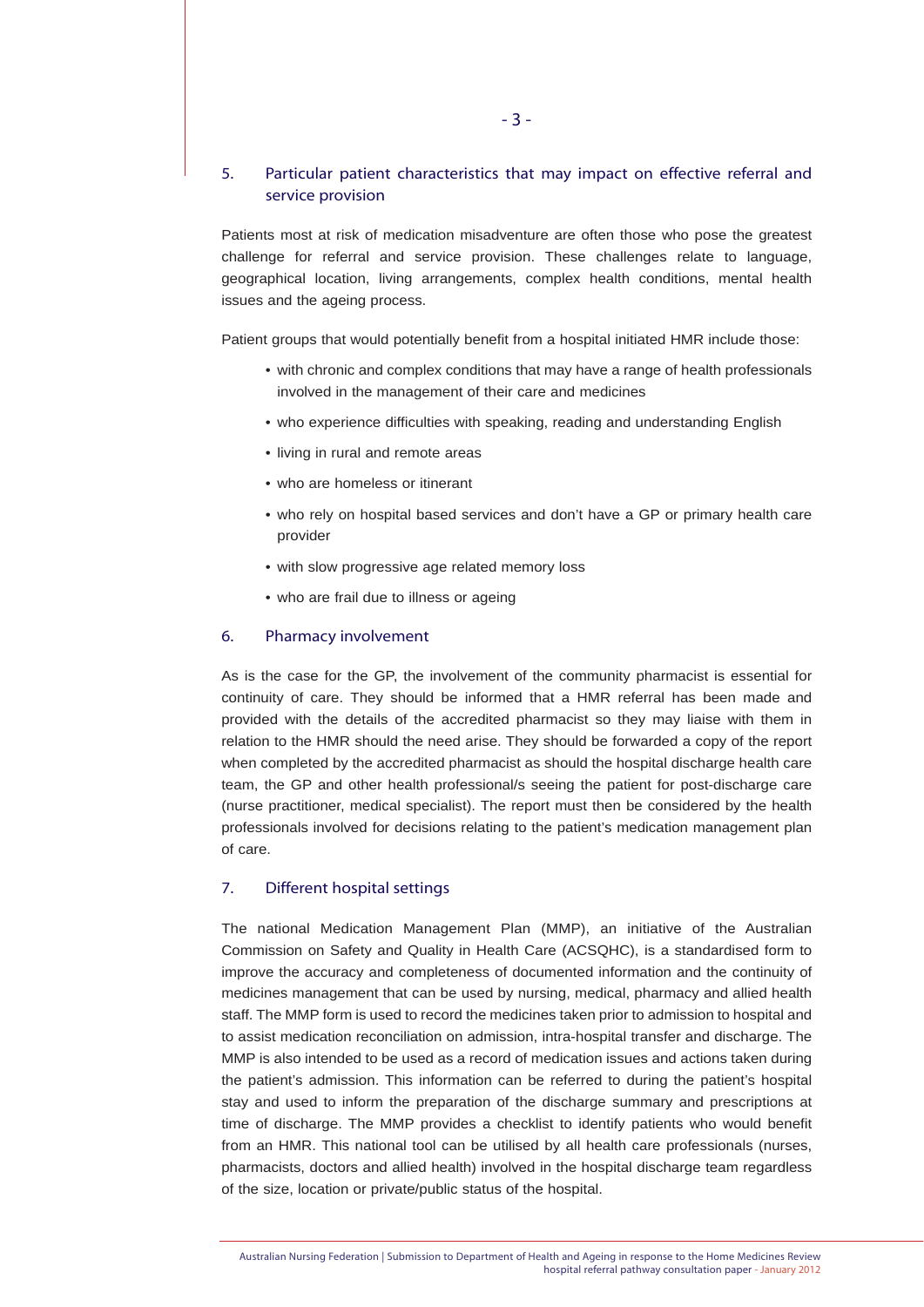# 5. Particular patient characteristics that may impact on effective referral and service provision

Patients most at risk of medication misadventure are often those who pose the greatest challenge for referral and service provision. These challenges relate to language, geographical location, living arrangements, complex health conditions, mental health issues and the ageing process.

Patient groups that would potentially benefit from a hospital initiated HMR include those:

- with chronic and complex conditions that may have a range of health professionals involved in the management of their care and medicines
- who experience difficulties with speaking, reading and understanding English
- living in rural and remote areas
- who are homeless or itinerant
- who rely on hospital based services and don't have a GP or primary health care provider
- with slow progressive age related memory loss
- who are frail due to illness or ageing

### 6. Pharmacy involvement

As is the case for the GP, the involvement of the community pharmacist is essential for continuity of care. They should be informed that a HMR referral has been made and provided with the details of the accredited pharmacist so they may liaise with them in relation to the HMR should the need arise. They should be forwarded a copy of the report when completed by the accredited pharmacist as should the hospital discharge health care team, the GP and other health professional/s seeing the patient for post-discharge care (nurse practitioner, medical specialist). The report must then be considered by the health professionals involved for decisions relating to the patient's medication management plan of care.

#### 7. Different hospital settings

The national Medication Management Plan (MMP), an initiative of the Australian Commission on Safety and Quality in Health Care (ACSQHC), is a standardised form to improve the accuracy and completeness of documented information and the continuity of medicines management that can be used by nursing, medical, pharmacy and allied health staff. The MMP form is used to record the medicines taken prior to admission to hospital and to assist medication reconciliation on admission, intra-hospital transfer and discharge. The MMP is also intended to be used as a record of medication issues and actions taken during the patient's admission. This information can be referred to during the patient's hospital stay and used to inform the preparation of the discharge summary and prescriptions at time of discharge. The MMP provides a checklist to identify patients who would benefit from an HMR. This national tool can be utilised by all health care professionals (nurses, pharmacists, doctors and allied health) involved in the hospital discharge team regardless of the size, location or private/public status of the hospital.

Australian Nursing Federation | Submission to Department of Health and Ageing in response to the Home Medicines Review hospital referral pathway consultation paper - January 2012